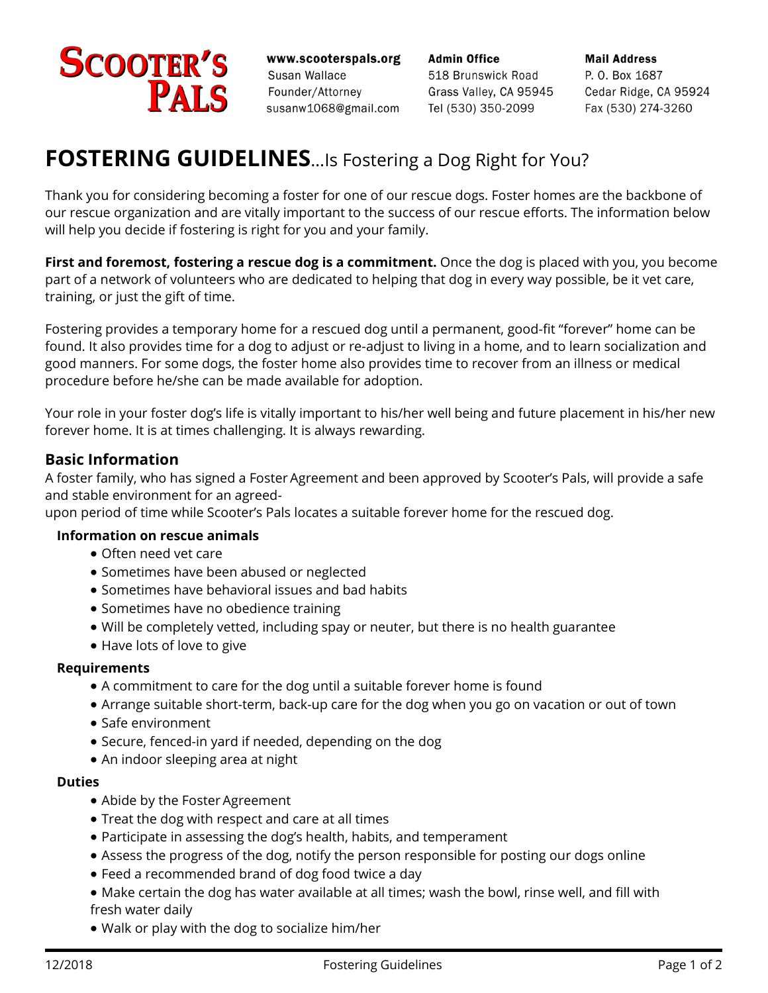# **SCOOTER'S** PALS

www.scooterspals.org Susan Wallace Founder/Attorney susanw1068@gmail.com

**Admin Office** 518 Brunswick Road Grass Valley, CA 95945 Tel (530) 350-2099

**Mail Address** P. O. Box 1687 Cedar Ridge, CA 95924 Fax (530) 274-3260

# **FOSTERING GUIDELINES**…Is Fostering a Dog Right for You?

Thank you for considering becoming a foster for one of our rescue dogs. Foster homes are the backbone of our rescue organization and are vitally important to the success of our rescue efforts. The information below will help you decide if fostering is right for you and your family.

**First and foremost, fostering a rescue dog is a commitment.** Once the dog is placed with you, you become part of a network of volunteers who are dedicated to helping that dog in every way possible, be it vet care, training, or just the gift of time.

Fostering provides a temporary home for a rescued dog until a permanent, good-fit "forever" home can be found. It also provides time for a dog to adjust or re-adjust to living in a home, and to learn socialization and good manners. For some dogs, the foster home also provides time to recover from an illness or medical procedure before he/she can be made available for adoption.

Your role in your foster dog's life is vitally important to his/her well being and future placement in his/her new forever home. It is at times challenging. It is always rewarding.

### **Basic Information**

A foster family, who has signed a Foster Agreement and been approved by Scooter's Pals, will provide a safe and stable environment for an agreed-

upon period of time while Scooter's Pals locates a suitable forever home for the rescued dog.

#### **Information on rescue animals**

- · Often need vet care
- · Sometimes have been abused or neglected
- · Sometimes have behavioral issues and bad habits
- · Sometimes have no obedience training
- · Will be completely vetted, including spay or neuter, but there is no health guarantee
- Have lots of love to give

#### **Requirements**

- · A commitment to care for the dog until a suitable forever home is found
- · Arrange suitable short-term, back-up care for the dog when you go on vacation or out of town
- · Safe environment
- · Secure, fenced-in yard if needed, depending on the dog
- · An indoor sleeping area at night

#### **Duties**

- · Abide by the Foster Agreement
- · Treat the dog with respect and care at all times
- · Participate in assessing the dog's health, habits, and temperament
- · Assess the progress of the dog, notify the person responsible for posting our dogs online
- · Feed a recommended brand of dog food twice a day
- · Make certain the dog has water available at all times; wash the bowl, rinse well, and fill with fresh water daily
- · Walk or play with the dog to socialize him/her